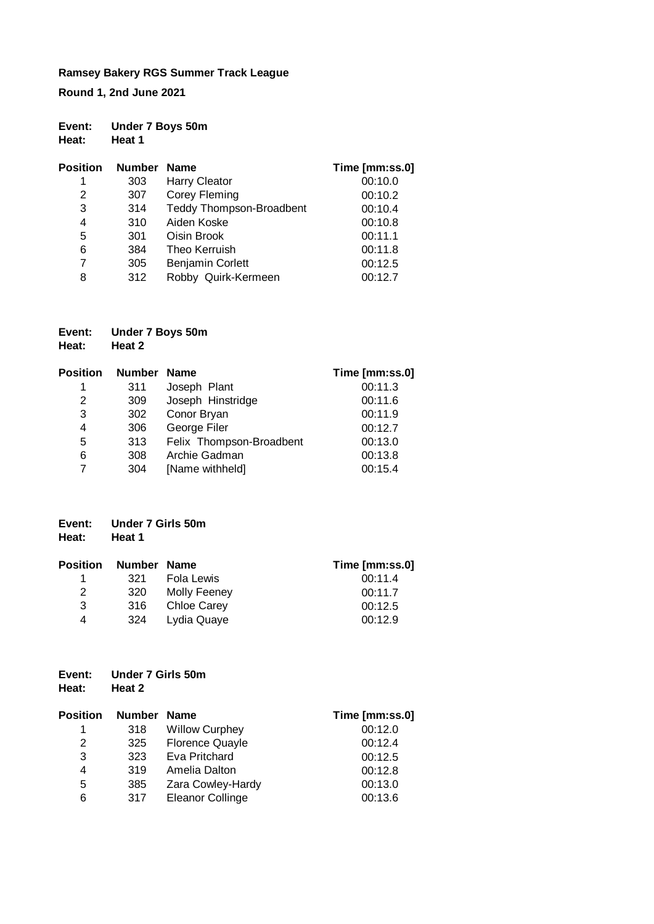**Round 1, 2nd June 2021**

# **Event: Under 7 Boys 50m Heat: Heat 1**

| <b>Position</b> | <b>Number</b> | <b>Name</b>                     | Time [mm:ss.0] |
|-----------------|---------------|---------------------------------|----------------|
| 1               | 303           | <b>Harry Cleator</b>            | 00:10.0        |
| 2               | 307           | <b>Corey Fleming</b>            | 00:10.2        |
| 3               | 314           | <b>Teddy Thompson-Broadbent</b> | 00:10.4        |
| 4               | 310           | Aiden Koske                     | 00:10.8        |
| 5               | 301           | Oisin Brook                     | 00:11.1        |
| 6               | 384           | Theo Kerruish                   | 00:11.8        |
| 7               | 305           | <b>Benjamin Corlett</b>         | 00:12.5        |
| 8               | 312           | Robby Quirk-Kermeen             | 00:12.7        |

| Event: | Under 7 Boys 50m |
|--------|------------------|
| Heat:  | Heat 2           |

| <b>Position</b> | Number | <b>Name</b>              | Time [mm:ss.0] |
|-----------------|--------|--------------------------|----------------|
| 1               | 311    | Joseph Plant             | 00:11.3        |
| 2               | 309    | Joseph Hinstridge        | 00:11.6        |
| 3               | 302    | Conor Bryan              | 00:11.9        |
| 4               | 306    | George Filer             | 00:12.7        |
| 5               | 313    | Felix Thompson-Broadbent | 00:13.0        |
| 6               | 308    | Archie Gadman            | 00:13.8        |
|                 | 304    | [Name withheld]          | 00:15.4        |

| Event: | Under 7 Girls 50m |
|--------|-------------------|
| Heat:  | Heat 1            |

| <b>Position</b> | Number Name |              | Time [mm:ss.0] |
|-----------------|-------------|--------------|----------------|
|                 | 321         | Fola Lewis   | 00:11.4        |
| 2               | 320         | Molly Feeney | 00:11.7        |
| 3               | -316        | Chloe Carey  | 00:12.5        |
| 4               | 324         | Lydia Quaye  | 00:12.9        |

# **Event: Under 7 Girls 50m Heat: Heat 2**

| Position | Number Name |                         | Time [mm:ss.0] |
|----------|-------------|-------------------------|----------------|
| 1        | 318         | <b>Willow Curphey</b>   | 00:12.0        |
| 2        | 325         | <b>Florence Quayle</b>  | 00:12.4        |
| 3        | 323         | Eva Pritchard           | 00:12.5        |
| 4        | 319         | Amelia Dalton           | 00:12.8        |
| 5        | 385         | Zara Cowley-Hardy       | 00:13.0        |
| 6        | 317         | <b>Eleanor Collinge</b> | 00:13.6        |
|          |             |                         |                |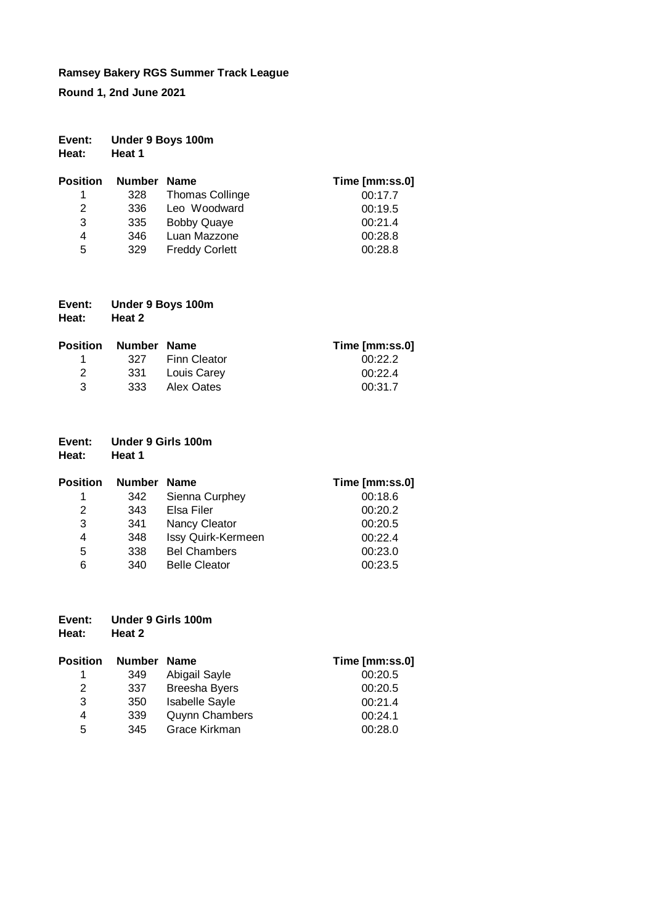**Round 1, 2nd June 2021**

| Event: | Under 9 Boys 100m |  |
|--------|-------------------|--|
|        |                   |  |

**Heat: Heat 1**

| <b>Position</b> | Number Name |                        | Time [mm:ss.0] |
|-----------------|-------------|------------------------|----------------|
| 1.              | 328         | <b>Thomas Collinge</b> | 00:17.7        |
| 2               | 336         | Leo Woodward           | 00:19.5        |
| 3               | 335         | <b>Bobby Quaye</b>     | 00:21.4        |
| 4               | 346         | Luan Mazzone           | 00:28.8        |
| 5               | 329         | <b>Freddy Corlett</b>  | 00:28.8        |

| Event: | Under 9 Boys 100m |
|--------|-------------------|
| Heat:  | Heat 2            |

| <b>Position Number Name</b> |                  | Time [mm:ss.0] |
|-----------------------------|------------------|----------------|
|                             | 327 Finn Cleator | 00:22.2        |
| $\overline{2}$              | 331 Louis Carev  | 00:22.4        |
| -3                          | 333 Alex Oates   | 00:31.7        |

| Event: | Under 9 Girls 100m |  |  |
|--------|--------------------|--|--|
|        |                    |  |  |

| Position | Number Name |                      | Time [mm:ss.0] |
|----------|-------------|----------------------|----------------|
| 1        | 342         | Sienna Curphey       | 00:18.6        |
| 2        | 343         | Elsa Filer           | 00:20.2        |
| 3        | 341         | Nancy Cleator        | 00:20.5        |
| 4        | 348         | Issy Quirk-Kermeen   | 00:22.4        |
| 5        | 338         | <b>Bel Chambers</b>  | 00:23.0        |
| 6        | 340         | <b>Belle Cleator</b> | 00:23.5        |

| Event: | Under 9 Girls 100m |
|--------|--------------------|
| Heat:  | Heat 2             |

| <b>Position</b> | Number Name |                       | Time [mm:ss.0] |
|-----------------|-------------|-----------------------|----------------|
|                 | 349         | Abigail Sayle         | 00:20.5        |
| 2               | 337         | <b>Breesha Byers</b>  | 00:20.5        |
| 3               | 350         | <b>Isabelle Sayle</b> | 00:21.4        |
| 4               | 339         | <b>Quynn Chambers</b> | 00:24.1        |
| 5               | 345         | Grace Kirkman         | 00:28.0        |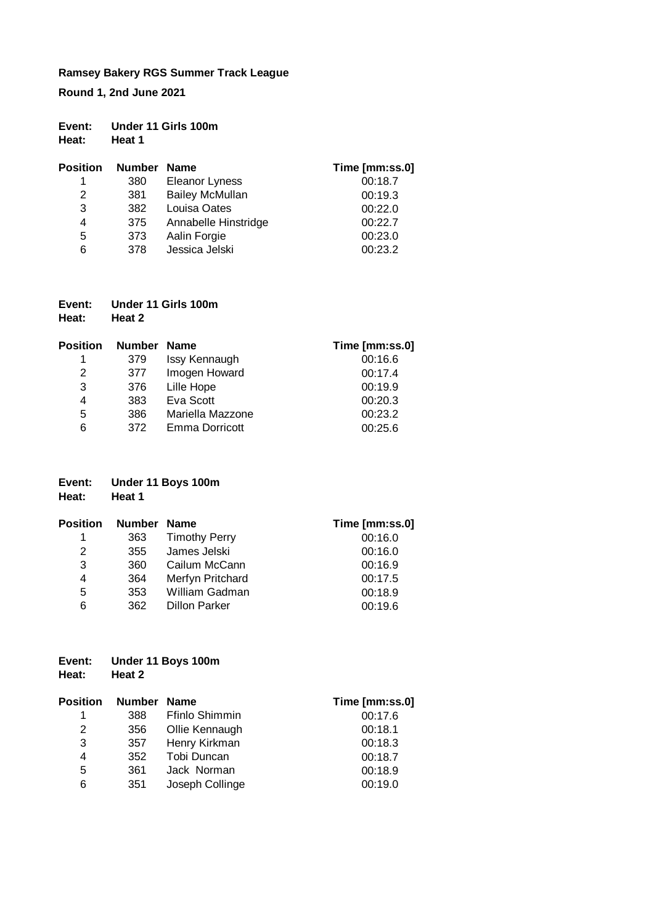**Round 1, 2nd June 2021**

| Event: | Under 11 Girls 100m |  |
|--------|---------------------|--|
| Heat:  | Heat 1              |  |

| <b>Position</b> | Number Name |                        | Time [mm:ss.0] |
|-----------------|-------------|------------------------|----------------|
|                 | 380         | <b>Eleanor Lyness</b>  | 00:18.7        |
| 2               | 381         | <b>Bailey McMullan</b> | 00:19.3        |
| 3               | 382         | Louisa Oates           | 00:22.0        |
| 4               | 375         | Annabelle Hinstridge   | 00:22.7        |
| 5               | 373         | Aalin Forgie           | 00:23.0        |
| 6               | 378         | Jessica Jelski         | 00:23.2        |

| Event: | Under 11 Girls 100m |
|--------|---------------------|
| Heat:  | Heat 2              |

| Position | Number Name |                  | Time [mm:ss.0] |
|----------|-------------|------------------|----------------|
| 1        | 379         | Issy Kennaugh    | 00:16.6        |
| 2        | 377         | Imogen Howard    | 00:17.4        |
| 3        | 376         | Lille Hope       | 00:19.9        |
| 4        | 383         | Eva Scott        | 00:20.3        |
| 5        | 386         | Mariella Mazzone | 00:23.2        |
| 6        | 372         | Emma Dorricott   | 00:25.6        |

# **Event: Under 11 Boys 100m Heat: Heat 1**

| Position | Number Name |                      | Time [mm:ss.0] |
|----------|-------------|----------------------|----------------|
| 1        | 363         | <b>Timothy Perry</b> | 00:16.0        |
| 2        | 355         | James Jelski         | 00:16.0        |
| 3        | 360         | Cailum McCann        | 00:16.9        |
| 4        | 364         | Merfyn Pritchard     | 00:17.5        |
| 5        | 353         | William Gadman       | 00:18.9        |
| 6        | 362         | <b>Dillon Parker</b> | 00:19.6        |

# **Event: Under 11 Boys 100m Heat: Heat 2**

| Position | Number Name |                 | Time [mm:ss.0] |
|----------|-------------|-----------------|----------------|
| 1        | 388         | Ffinlo Shimmin  | 00:17.6        |
| 2        | 356         | Ollie Kennaugh  | 00:18.1        |
| 3        | 357         | Henry Kirkman   | 00:18.3        |
| 4        | 352         | Tobi Duncan     | 00:18.7        |
| 5        | 361         | Jack Norman     | 00:18.9        |
| 6        | 351         | Joseph Collinge | 00:19.0        |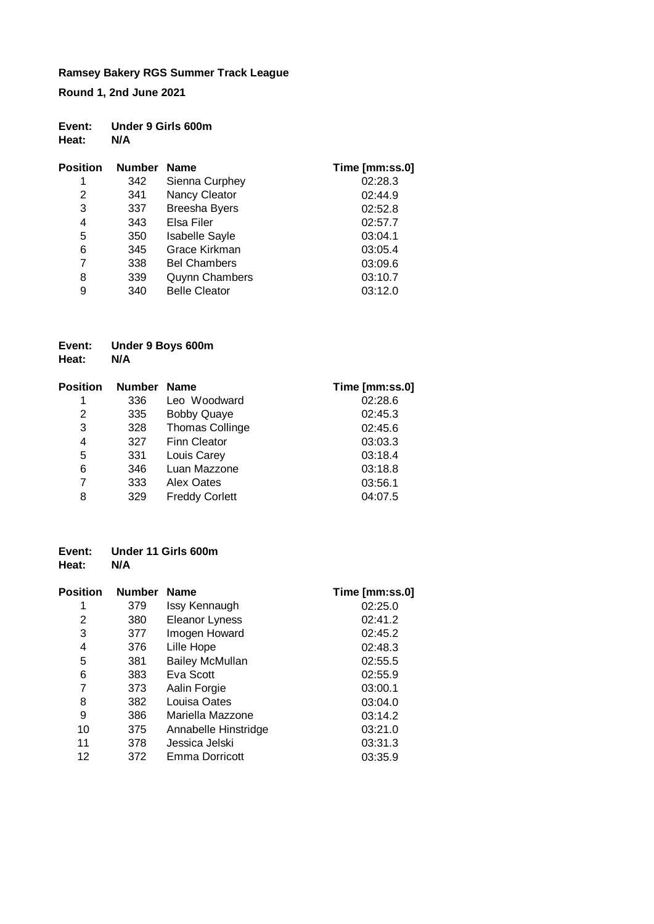**Round 1, 2nd June 2021**

## **Event: Under 9 Girls 600m Heat:**

| Position | <b>Number</b> | <b>Name</b>           | Time [mm:ss.0] |
|----------|---------------|-----------------------|----------------|
| 1        | 342           | Sienna Curphey        | 02:28.3        |
| 2        | 341           | Nancy Cleator         | 02:44.9        |
| 3        | 337           | <b>Breesha Byers</b>  | 02:52.8        |
| 4        | 343           | Elsa Filer            | 02:57.7        |
| 5        | 350           | <b>Isabelle Sayle</b> | 03:04.1        |
| 6        | 345           | Grace Kirkman         | 03:05.4        |
| 7        | 338           | <b>Bel Chambers</b>   | 03:09.6        |
| 8        | 339           | <b>Quynn Chambers</b> | 03:10.7        |
| 9        | 340           | <b>Belle Cleator</b>  | 03:12.0        |

# **Event: Under 9 Boys 600m Heat:**

| <b>Position</b> | <b>Number</b> | <b>Name</b>            | Time [mm:ss.0] |
|-----------------|---------------|------------------------|----------------|
| 1               | 336           | Leo Woodward           | 02:28.6        |
| 2               | 335           | <b>Bobby Quaye</b>     | 02:45.3        |
| 3               | 328           | <b>Thomas Collinge</b> | 02:45.6        |
| 4               | 327           | <b>Finn Cleator</b>    | 03:03.3        |
| 5               | 331           | Louis Carey            | 03:18.4        |
| 6               | 346           | Luan Mazzone           | 03:18.8        |
| 7               | 333           | Alex Oates             | 03:56.1        |
| 8               | 329           | <b>Freddy Corlett</b>  | 04:07.5        |

#### **Event: Under 11 Girls 600m Heat:**

| <b>Position</b> | <b>Number</b> | <b>Name</b>            | Time [mm:ss.0] |
|-----------------|---------------|------------------------|----------------|
| 1               | 379           | Issy Kennaugh          | 02:25.0        |
| 2               | 380           | Eleanor Lyness         | 02:41.2        |
| 3               | 377           | Imogen Howard          | 02:45.2        |
| 4               | 376           | Lille Hope             | 02:48.3        |
| 5               | 381           | <b>Bailey McMullan</b> | 02:55.5        |
| 6               | 383           | Eva Scott              | 02:55.9        |
| 7               | 373           | Aalin Forgie           | 03:00.1        |
| 8               | 382           | Louisa Oates           | 03:04.0        |
| 9               | 386           | Mariella Mazzone       | 03:14.2        |
| 10              | 375           | Annabelle Hinstridge   | 03:21.0        |
| 11              | 378           | Jessica Jelski         | 03:31.3        |
| 12              | 372           | Emma Dorricott         | 03:35.9        |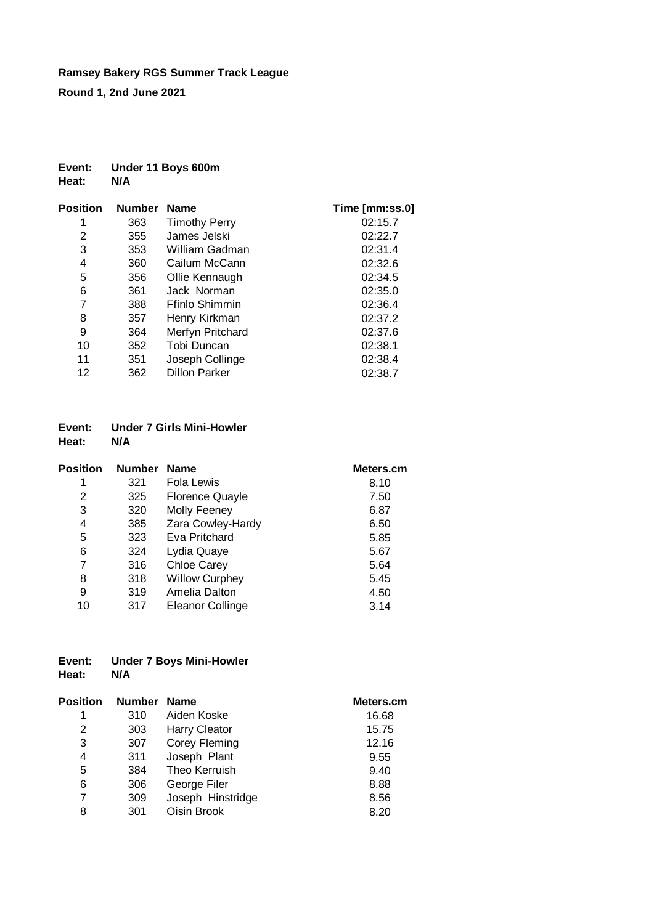**Round 1, 2nd June 2021**

# **Event: Under 11 Boys 600m Heat:**

| Position | <b>Number</b> | <b>Name</b>          | Time [mm:ss.0] |
|----------|---------------|----------------------|----------------|
|          | 363           | <b>Timothy Perry</b> | 02:15.7        |
| 2        | 355           | James Jelski         | 02:22.7        |
| 3        | 353           | William Gadman       | 02:31.4        |
| 4        | 360           | Cailum McCann        | 02:32.6        |
| 5        | 356           | Ollie Kennaugh       | 02:34.5        |
| 6        | 361           | Jack Norman          | 02:35.0        |
| 7        | 388           | Ffinlo Shimmin       | 02:36.4        |
| 8        | 357           | Henry Kirkman        | 02:37.2        |
| 9        | 364           | Merfyn Pritchard     | 02:37.6        |
| 10       | 352           | Tobi Duncan          | 02:38.1        |
| 11       | 351           | Joseph Collinge      | 02:38.4        |
| 12       | 362           | <b>Dillon Parker</b> | 02:38.7        |

#### **Event: Under 7 Girls Mini-Howler Heat:**

| Position | <b>Number</b> | <b>Name</b>            | Meters.cm |
|----------|---------------|------------------------|-----------|
| 1        | 321           | Fola Lewis             | 8.10      |
| 2        | 325           | <b>Florence Quayle</b> | 7.50      |
| 3        | 320           | Molly Feeney           | 6.87      |
| 4        | 385           | Zara Cowley-Hardy      | 6.50      |
| 5        | 323           | Eva Pritchard          | 5.85      |
| 6        | 324           | Lydia Quaye            | 5.67      |
| 7        | 316           | <b>Chloe Carey</b>     | 5.64      |
| 8        | 318           | <b>Willow Curphey</b>  | 5.45      |
| 9        | 319           | Amelia Dalton          | 4.50      |
| 10       | 317           | Eleanor Collinge       | 3.14      |

# **Event: Under 7 Boys Mini-Howler Heat:**

| Position | <b>Number</b> | <b>Name</b>          | Meters.cm |
|----------|---------------|----------------------|-----------|
| 1        | 310           | Aiden Koske          | 16.68     |
| 2        | 303           | <b>Harry Cleator</b> | 15.75     |
| 3        | 307           | Corey Fleming        | 12.16     |
| 4        | 311           | Joseph Plant         | 9.55      |
| 5        | 384           | Theo Kerruish        | 9.40      |
| 6        | 306           | George Filer         | 8.88      |
| 7        | 309           | Joseph Hinstridge    | 8.56      |
| 8        | 301           | Oisin Brook          | 8.20      |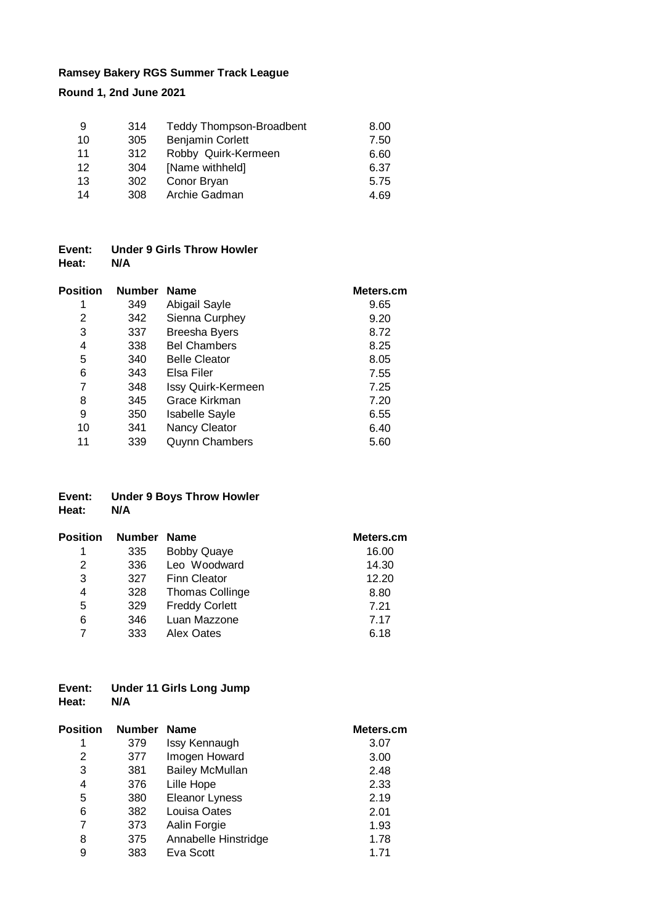**Round 1, 2nd June 2021**

| 9  | 314 | <b>Teddy Thompson-Broadbent</b> | 8.00 |
|----|-----|---------------------------------|------|
| 10 | 305 | <b>Benjamin Corlett</b>         | 7.50 |
| 11 | 312 | Robby Quirk-Kermeen             | 6.60 |
| 12 | 304 | [Name withheld]                 | 6.37 |
| 13 | 302 | Conor Bryan                     | 5.75 |
| 14 | 308 | Archie Gadman                   | 4.69 |

## **Event: Under 9 Girls Throw Howler Heat: N/A**

| Position | <b>Number</b> | <b>Name</b>           | Meters.cm |
|----------|---------------|-----------------------|-----------|
|          | 349           | Abigail Sayle         | 9.65      |
| 2        | 342           | Sienna Curphey        | 9.20      |
| 3        | 337           | <b>Breesha Byers</b>  | 8.72      |
| 4        | 338           | <b>Bel Chambers</b>   | 8.25      |
| 5        | 340           | <b>Belle Cleator</b>  | 8.05      |
| 6        | 343           | Elsa Filer            | 7.55      |
| 7        | 348           | Issy Quirk-Kermeen    | 7.25      |
| 8        | 345           | Grace Kirkman         | 7.20      |
| 9        | 350           | <b>Isabelle Sayle</b> | 6.55      |
| 10       | 341           | Nancy Cleator         | 6.40      |
| 11       | 339           | <b>Quynn Chambers</b> | 5.60      |

# **Event: Under 9 Boys Throw Howler Heat: N/A**

| Position | Number Name |                        | Meters.cm |
|----------|-------------|------------------------|-----------|
| 1        | 335         | <b>Bobby Quaye</b>     | 16.00     |
| 2        | 336         | Leo Woodward           | 14.30     |
| 3        | 327         | <b>Finn Cleator</b>    | 12.20     |
| 4        | 328         | <b>Thomas Collinge</b> | 8.80      |
| 5        | 329         | <b>Freddy Corlett</b>  | 7.21      |
| 6        | 346         | Luan Mazzone           | 7.17      |
|          | 333         | Alex Oates             | 6.18      |

## **Event: Under 11 Girls Long Jump Heat: N/A**

| <b>Position</b> | <b>Number</b> | <b>Name</b>            | Meters.cm |
|-----------------|---------------|------------------------|-----------|
| 1               | 379           | Issy Kennaugh          | 3.07      |
| 2               | 377           | Imogen Howard          | 3.00      |
| 3               | 381           | <b>Bailey McMullan</b> | 2.48      |
| 4               | 376           | Lille Hope             | 2.33      |
| 5               | 380           | <b>Eleanor Lyness</b>  | 2.19      |
| 6               | 382           | Louisa Oates           | 2.01      |
| 7               | 373           | Aalin Forgie           | 1.93      |
| 8               | 375           | Annabelle Hinstridge   | 1.78      |
| 9               | 383           | Eva Scott              | 1.71      |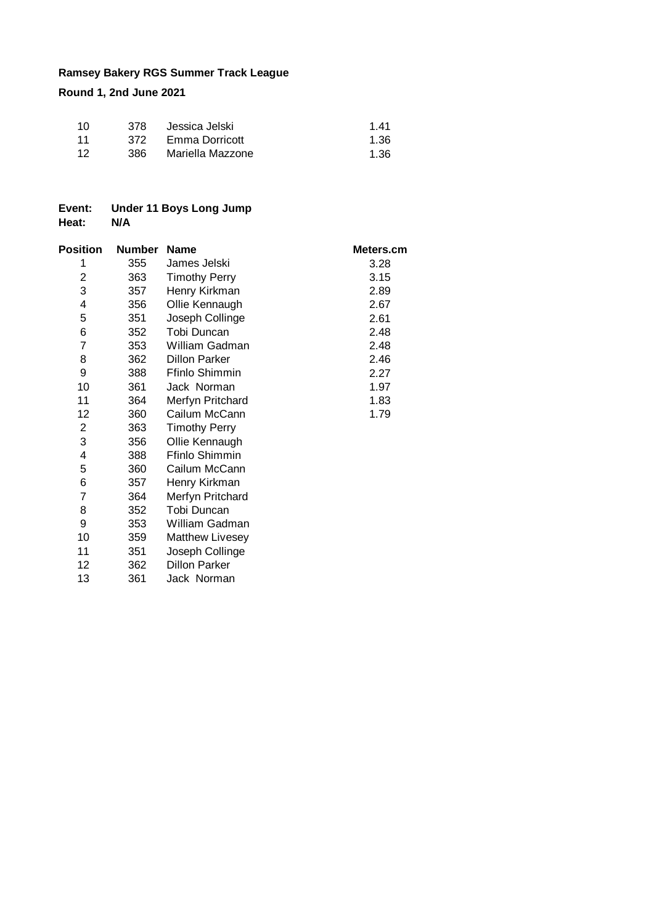**Round 1, 2nd June 2021**

| -10  | 378  | Jessica Jelski   | 141  |
|------|------|------------------|------|
| - 11 | 372  | Emma Dorricott   | 1.36 |
| -12  | 386. | Mariella Mazzone | 1.36 |

# **Event: Under 11 Boys Long Jump Heat:**

| <b>Position</b> | Number | <b>Name</b>            | Meters.cm |
|-----------------|--------|------------------------|-----------|
| 1               | 355    | James Jelski           | 3.28      |
| 2               | 363    | <b>Timothy Perry</b>   | 3.15      |
| 3               | 357    | Henry Kirkman          | 2.89      |
| 4               | 356    | Ollie Kennaugh         | 2.67      |
| 5               | 351    | Joseph Collinge        | 2.61      |
| 6               | 352    | Tobi Duncan            | 2.48      |
| 7               | 353    | William Gadman         | 2.48      |
| 8               | 362    | <b>Dillon Parker</b>   | 2.46      |
| 9               | 388    | Ffinlo Shimmin         | 2.27      |
| 10              | 361    | Jack Norman            | 1.97      |
| 11              | 364    | Merfyn Pritchard       | 1.83      |
| 12              | 360    | Cailum McCann          | 1.79      |
| 2               | 363    | <b>Timothy Perry</b>   |           |
| 3               | 356    | Ollie Kennaugh         |           |
| 4               | 388    | Ffinlo Shimmin         |           |
| 5               | 360    | Cailum McCann          |           |
| 6               | 357    | Henry Kirkman          |           |
| 7               | 364    | Merfyn Pritchard       |           |
| 8               | 352    | Tobi Duncan            |           |
| 9               | 353    | William Gadman         |           |
| 10              | 359    | <b>Matthew Livesey</b> |           |
| 11              | 351    | Joseph Collinge        |           |
| 12              | 362    | <b>Dillon Parker</b>   |           |
| 13              | 361    | Jack Norman            |           |